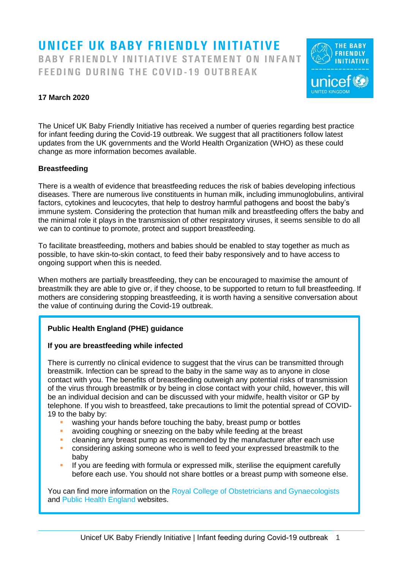# UNICEF UK BABY FRIENDLY INITIATIVE BABY FRIENDLY INITIATIVE STATEMENT ON INFANT FEEDING DURING THE COVID-19 OUTBREAK



# **17 March 2020**

The Unicef UK Baby Friendly Initiative has received a number of queries regarding best practice for infant feeding during the Covid-19 outbreak. We suggest that all practitioners follow latest updates from the UK governments and the World Health Organization (WHO) as these could change as more information becomes available.

## **Breastfeeding**

There is a wealth of evidence that breastfeeding reduces the risk of babies developing infectious diseases. There are numerous live constituents in human milk, including immunoglobulins, antiviral factors, cytokines and leucocytes, that help to destroy harmful pathogens and boost the baby's immune system. Considering the protection that human milk and breastfeeding offers the baby and the minimal role it plays in the transmission of other respiratory viruses, it seems sensible to do all we can to continue to promote, protect and support breastfeeding.

To facilitate breastfeeding, mothers and babies should be enabled to stay together as much as possible, to have skin-to-skin contact, to feed their baby responsively and to have access to ongoing support when this is needed.

When mothers are partially breastfeeding, they can be encouraged to maximise the amount of breastmilk they are able to give or, if they choose, to be supported to return to full breastfeeding. If mothers are considering stopping breastfeeding, it is worth having a sensitive conversation about the value of continuing during the Covid-19 outbreak.

## **Public Health England (PHE) guidance**

#### **If you are breastfeeding while infected**

There is currently no clinical evidence to suggest that the virus can be transmitted through breastmilk. Infection can be spread to the baby in the same way as to anyone in close contact with you. The benefits of breastfeeding outweigh any potential risks of transmission of the virus through breastmilk or by being in close contact with your child, however, this will be an individual decision and can be discussed with your midwife, health visitor or GP by telephone. If you wish to breastfeed, take precautions to limit the potential spread of COVID-19 to the baby by:

- washing your hands before touching the baby, breast pump or bottles
- avoiding coughing or sneezing on the baby while feeding at the breast
- cleaning any breast pump as recommended by the manufacturer after each use
- considering asking someone who is well to feed your expressed breastmilk to the baby
- **•** If you are feeding with formula or expressed milk, sterilise the equipment carefully before each use. You should not share bottles or a breast pump with someone else.

You can find more information on the [Royal College of Obstetricians and Gynaecologists](https://www.rcog.org.uk/en/guidelines-research-services/guidelines/coronavirus-pregnancy/covid-19-virus-infection-and-pregnancy/) and [Public Health England](https://www.gov.uk/government/publications/covid-19-stay-at-home-guidance) websites.